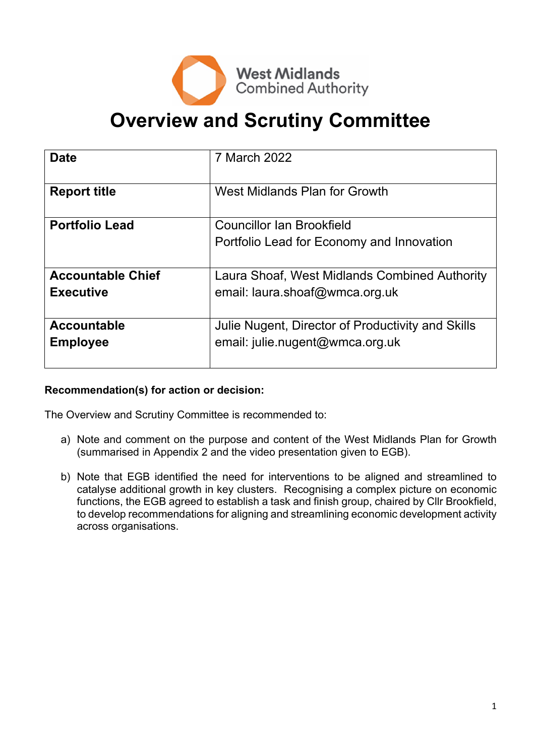

# **Overview and Scrutiny Committee**

| <b>Date</b>                                  | 7 March 2022                                                                         |
|----------------------------------------------|--------------------------------------------------------------------------------------|
| <b>Report title</b>                          | West Midlands Plan for Growth                                                        |
| <b>Portfolio Lead</b>                        | <b>Councillor Ian Brookfield</b><br>Portfolio Lead for Economy and Innovation        |
| <b>Accountable Chief</b><br><b>Executive</b> | Laura Shoaf, West Midlands Combined Authority<br>email: laura.shoaf@wmca.org.uk      |
| <b>Accountable</b><br><b>Employee</b>        | Julie Nugent, Director of Productivity and Skills<br>email: julie.nugent@wmca.org.uk |

### **Recommendation(s) for action or decision:**

The Overview and Scrutiny Committee is recommended to:

- a) Note and comment on the purpose and content of the West Midlands Plan for Growth (summarised in Appendix 2 and the video presentation given to EGB).
- b) Note that EGB identified the need for interventions to be aligned and streamlined to catalyse additional growth in key clusters. Recognising a complex picture on economic functions, the EGB agreed to establish a task and finish group, chaired by Cllr Brookfield, to develop recommendations for aligning and streamlining economic development activity across organisations.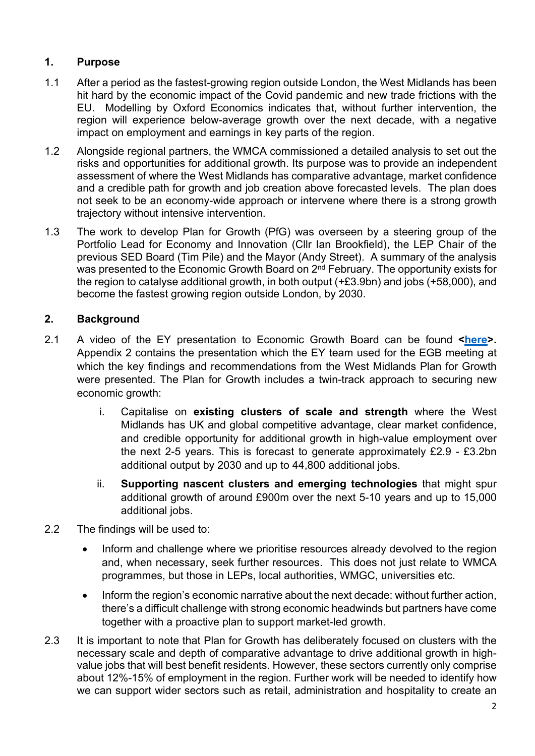# **1. Purpose**

- 1.1 After a period as the fastest-growing region outside London, the West Midlands has been hit hard by the economic impact of the Covid pandemic and new trade frictions with the EU. Modelling by Oxford Economics indicates that, without further intervention, the region will experience below-average growth over the next decade, with a negative impact on employment and earnings in key parts of the region.
- 1.2 Alongside regional partners, the WMCA commissioned a detailed analysis to set out the risks and opportunities for additional growth. Its purpose was to provide an independent assessment of where the West Midlands has comparative advantage, market confidence and a credible path for growth and job creation above forecasted levels. The plan does not seek to be an economy-wide approach or intervene where there is a strong growth trajectory without intensive intervention.
- 1.3 The work to develop Plan for Growth (PfG) was overseen by a steering group of the Portfolio Lead for Economy and Innovation (Cllr Ian Brookfield), the LEP Chair of the previous SED Board (Tim Pile) and the Mayor (Andy Street). A summary of the analysis was presented to the Economic Growth Board on 2<sup>nd</sup> February. The opportunity exists for the region to catalyse additional growth, in both output (+£3.9bn) and jobs (+58,000), and become the fastest growing region outside London, by 2030.

## **2. Background**

- 2.1 A video of the EY presentation to Economic Growth Board can be found **[<here>](https://youtu.be/So1HbU4RGYs?t=2405).** Appendix 2 contains the presentation which the EY team used for the EGB meeting at which the key findings and recommendations from the West Midlands Plan for Growth were presented. The Plan for Growth includes a twin-track approach to securing new economic growth:
	- i. Capitalise on **existing clusters of scale and strength** where the West Midlands has UK and global competitive advantage, clear market confidence, and credible opportunity for additional growth in high-value employment over the next 2-5 years. This is forecast to generate approximately £2.9 - £3.2bn additional output by 2030 and up to 44,800 additional jobs.
	- ii. **Supporting nascent clusters and emerging technologies** that might spur additional growth of around £900m over the next 5-10 years and up to 15,000 additional jobs.
- 2.2 The findings will be used to:
	- Inform and challenge where we prioritise resources already devolved to the region and, when necessary, seek further resources. This does not just relate to WMCA programmes, but those in LEPs, local authorities, WMGC, universities etc.
	- Inform the region's economic narrative about the next decade: without further action, there's a difficult challenge with strong economic headwinds but partners have come together with a proactive plan to support market-led growth.
- 2.3 It is important to note that Plan for Growth has deliberately focused on clusters with the necessary scale and depth of comparative advantage to drive additional growth in highvalue jobs that will best benefit residents. However, these sectors currently only comprise about 12%-15% of employment in the region. Further work will be needed to identify how we can support wider sectors such as retail, administration and hospitality to create an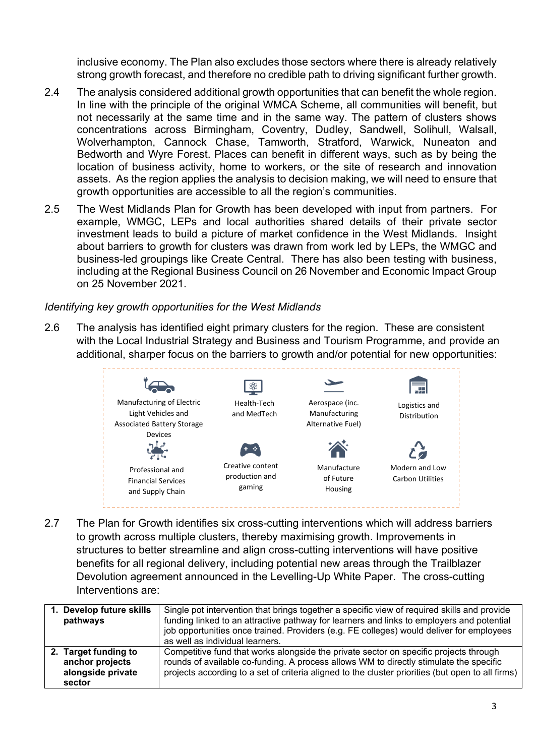inclusive economy. The Plan also excludes those sectors where there is already relatively strong growth forecast, and therefore no credible path to driving significant further growth.

- 2.4 The analysis considered additional growth opportunities that can benefit the whole region. In line with the principle of the original WMCA Scheme, all communities will benefit, but not necessarily at the same time and in the same way. The pattern of clusters shows concentrations across Birmingham, Coventry, Dudley, Sandwell, Solihull, Walsall, Wolverhampton, Cannock Chase, Tamworth, Stratford, Warwick, Nuneaton and Bedworth and Wyre Forest. Places can benefit in different ways, such as by being the location of business activity, home to workers, or the site of research and innovation assets. As the region applies the analysis to decision making, we will need to ensure that growth opportunities are accessible to all the region's communities.
- 2.5 The West Midlands Plan for Growth has been developed with input from partners. For example, WMGC, LEPs and local authorities shared details of their private sector investment leads to build a picture of market confidence in the West Midlands. Insight about barriers to growth for clusters was drawn from work led by LEPs, the WMGC and business-led groupings like Create Central. There has also been testing with business, including at the Regional Business Council on 26 November and Economic Impact Group on 25 November 2021.

#### *Identifying key growth opportunities for the West Midlands*

2.6 The analysis has identified eight primary clusters for the region. These are consistent with the Local Industrial Strategy and Business and Tourism Programme, and provide an additional, sharper focus on the barriers to growth and/or potential for new opportunities:



2.7 The Plan for Growth identifies six cross-cutting interventions which will address barriers to growth across multiple clusters, thereby maximising growth. Improvements in structures to better streamline and align cross-cutting interventions will have positive benefits for all regional delivery, including potential new areas through the Trailblazer Devolution agreement announced in the Levelling-Up White Paper. The cross-cutting Interventions are:

| Develop future skills<br>pathways                                      | Single pot intervention that brings together a specific view of required skills and provide<br>funding linked to an attractive pathway for learners and links to employers and potential<br>job opportunities once trained. Providers (e.g. FE colleges) would deliver for employees<br>as well as individual learners. |
|------------------------------------------------------------------------|-------------------------------------------------------------------------------------------------------------------------------------------------------------------------------------------------------------------------------------------------------------------------------------------------------------------------|
| 2. Target funding to<br>anchor projects<br>alongside private<br>sector | Competitive fund that works alongside the private sector on specific projects through<br>rounds of available co-funding. A process allows WM to directly stimulate the specific<br>projects according to a set of criteria aligned to the cluster priorities (but open to all firms)                                    |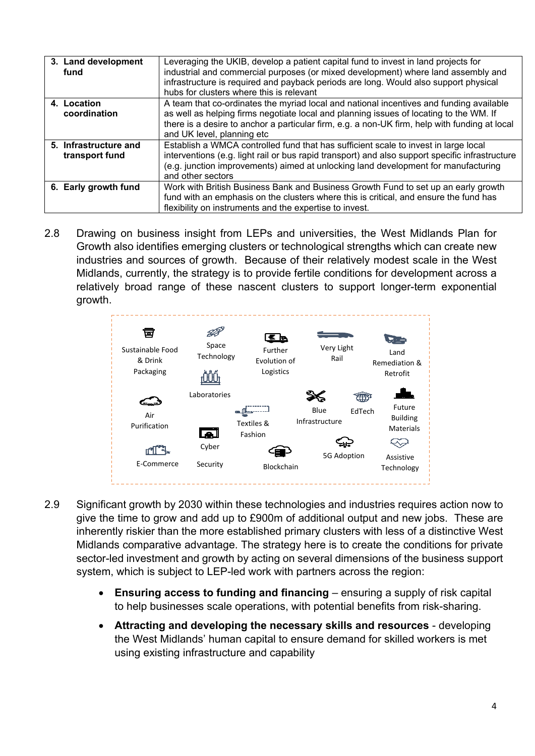| Leveraging the UKIB, develop a patient capital fund to invest in land projects for<br>industrial and commercial purposes (or mixed development) where land assembly and<br>infrastructure is required and payback periods are long. Would also support physical<br>hubs for clusters where this is relevant      |
|------------------------------------------------------------------------------------------------------------------------------------------------------------------------------------------------------------------------------------------------------------------------------------------------------------------|
| A team that co-ordinates the myriad local and national incentives and funding available<br>as well as helping firms negotiate local and planning issues of locating to the WM. If<br>there is a desire to anchor a particular firm, e.g. a non-UK firm, help with funding at local<br>and UK level, planning etc |
| Establish a WMCA controlled fund that has sufficient scale to invest in large local<br>interventions (e.g. light rail or bus rapid transport) and also support specific infrastructure<br>(e.g. junction improvements) aimed at unlocking land development for manufacturing<br>and other sectors                |
| Work with British Business Bank and Business Growth Fund to set up an early growth<br>fund with an emphasis on the clusters where this is critical, and ensure the fund has<br>flexibility on instruments and the expertise to invest.                                                                           |
|                                                                                                                                                                                                                                                                                                                  |

2.8 Drawing on business insight from LEPs and universities, the West Midlands Plan for Growth also identifies emerging clusters or technological strengths which can create new industries and sources of growth. Because of their relatively modest scale in the West Midlands, currently, the strategy is to provide fertile conditions for development across a relatively broad range of these nascent clusters to support longer-term exponential growth.



- 2.9 Significant growth by 2030 within these technologies and industries requires action now to give the time to grow and add up to £900m of additional output and new jobs. These are inherently riskier than the more established primary clusters with less of a distinctive West Midlands comparative advantage. The strategy here is to create the conditions for private sector-led investment and growth by acting on several dimensions of the business support system, which is subject to LEP-led work with partners across the region:
	- **Ensuring access to funding and financing** *–* ensuring a supply of risk capital to help businesses scale operations, with potential benefits from risk-sharing.
	- **Attracting and developing the necessary skills and resources** developing the West Midlands' human capital to ensure demand for skilled workers is met using existing infrastructure and capability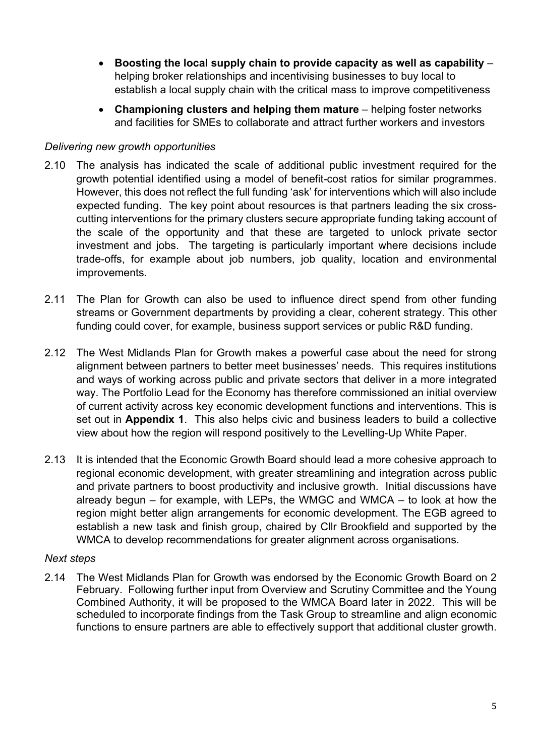- **Boosting the local supply chain to provide capacity as well as capability** helping broker relationships and incentivising businesses to buy local to establish a local supply chain with the critical mass to improve competitiveness
- **Championing clusters and helping them mature** helping foster networks and facilities for SMEs to collaborate and attract further workers and investors

#### *Delivering new growth opportunities*

- 2.10 The analysis has indicated the scale of additional public investment required for the growth potential identified using a model of benefit-cost ratios for similar programmes. However, this does not reflect the full funding 'ask' for interventions which will also include expected funding. The key point about resources is that partners leading the six crosscutting interventions for the primary clusters secure appropriate funding taking account of the scale of the opportunity and that these are targeted to unlock private sector investment and jobs. The targeting is particularly important where decisions include trade-offs, for example about job numbers, job quality, location and environmental improvements.
- 2.11 The Plan for Growth can also be used to influence direct spend from other funding streams or Government departments by providing a clear, coherent strategy. This other funding could cover, for example, business support services or public R&D funding.
- 2.12 The West Midlands Plan for Growth makes a powerful case about the need for strong alignment between partners to better meet businesses' needs. This requires institutions and ways of working across public and private sectors that deliver in a more integrated way. The Portfolio Lead for the Economy has therefore commissioned an initial overview of current activity across key economic development functions and interventions. This is set out in **Appendix 1**. This also helps civic and business leaders to build a collective view about how the region will respond positively to the Levelling-Up White Paper.
- 2.13 It is intended that the Economic Growth Board should lead a more cohesive approach to regional economic development, with greater streamlining and integration across public and private partners to boost productivity and inclusive growth. Initial discussions have already begun – for example, with LEPs, the WMGC and WMCA – to look at how the region might better align arrangements for economic development. The EGB agreed to establish a new task and finish group, chaired by Cllr Brookfield and supported by the WMCA to develop recommendations for greater alignment across organisations.

#### *Next steps*

2.14 The West Midlands Plan for Growth was endorsed by the Economic Growth Board on 2 February. Following further input from Overview and Scrutiny Committee and the Young Combined Authority, it will be proposed to the WMCA Board later in 2022. This will be scheduled to incorporate findings from the Task Group to streamline and align economic functions to ensure partners are able to effectively support that additional cluster growth.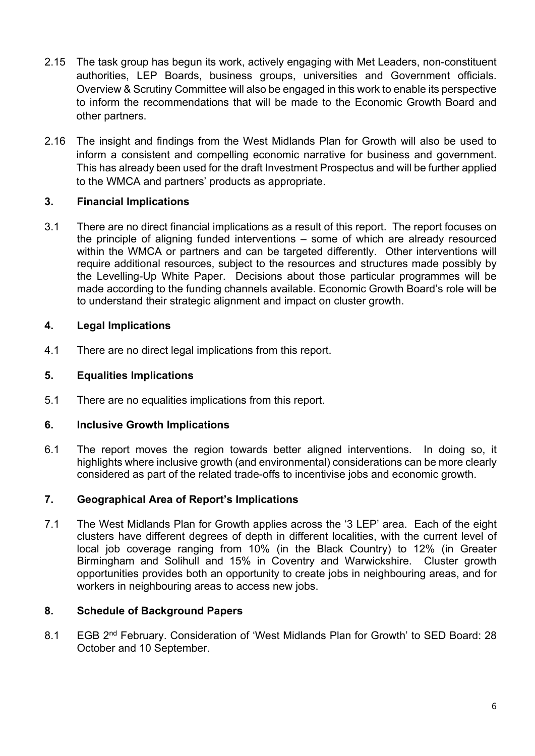- 2.15 The task group has begun its work, actively engaging with Met Leaders, non-constituent authorities, LEP Boards, business groups, universities and Government officials. Overview & Scrutiny Committee will also be engaged in this work to enable its perspective to inform the recommendations that will be made to the Economic Growth Board and other partners.
- 2.16 The insight and findings from the West Midlands Plan for Growth will also be used to inform a consistent and compelling economic narrative for business and government. This has already been used for the draft Investment Prospectus and will be further applied to the WMCA and partners' products as appropriate.

### **3. Financial Implications**

3.1 There are no direct financial implications as a result of this report. The report focuses on the principle of aligning funded interventions – some of which are already resourced within the WMCA or partners and can be targeted differently. Other interventions will require additional resources, subject to the resources and structures made possibly by the Levelling-Up White Paper. Decisions about those particular programmes will be made according to the funding channels available. Economic Growth Board's role will be to understand their strategic alignment and impact on cluster growth.

### **4. Legal Implications**

4.1 There are no direct legal implications from this report.

### **5. Equalities Implications**

5.1 There are no equalities implications from this report.

### **6. Inclusive Growth Implications**

6.1 The report moves the region towards better aligned interventions. In doing so, it highlights where inclusive growth (and environmental) considerations can be more clearly considered as part of the related trade-offs to incentivise jobs and economic growth.

### **7. Geographical Area of Report's Implications**

7.1 The West Midlands Plan for Growth applies across the '3 LEP' area. Each of the eight clusters have different degrees of depth in different localities, with the current level of local job coverage ranging from 10% (in the Black Country) to 12% (in Greater Birmingham and Solihull and 15% in Coventry and Warwickshire. Cluster growth opportunities provides both an opportunity to create jobs in neighbouring areas, and for workers in neighbouring areas to access new jobs.

### **8. Schedule of Background Papers**

8.1 EGB 2<sup>nd</sup> February. Consideration of 'West Midlands Plan for Growth' to SED Board: 28 October and 10 September.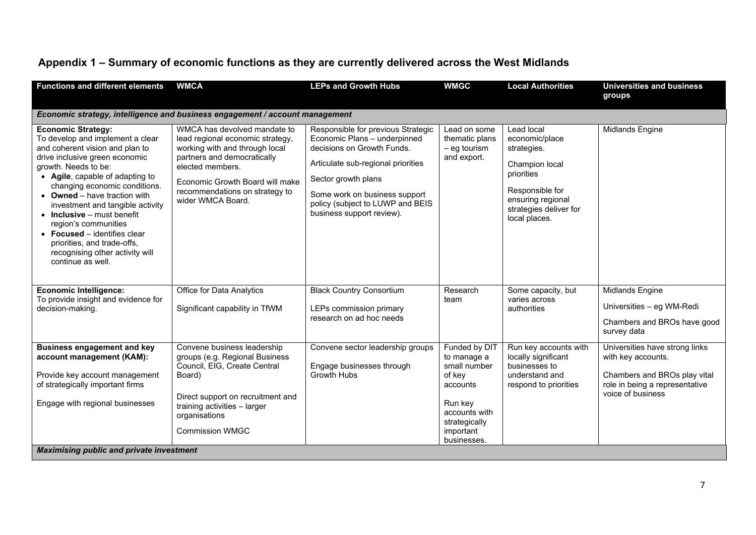# **Appendix 1 – Summary of economic functions as they are currently delivered across the West Midlands**

| <b>Functions and different elements</b>                                                                                                                                                                                                                                                                                                                                                                                                                                                         | <b>WMCA</b>                                                                                                                                                                                                                                     | <b>LEPs and Growth Hubs</b>                                                                                                                                                                                                                                     | <b>WMGC</b>                                                                                                                                 | <b>Local Authorities</b>                                                                                                                                       | <b>Universities and business</b><br>groups                                                                                                  |
|-------------------------------------------------------------------------------------------------------------------------------------------------------------------------------------------------------------------------------------------------------------------------------------------------------------------------------------------------------------------------------------------------------------------------------------------------------------------------------------------------|-------------------------------------------------------------------------------------------------------------------------------------------------------------------------------------------------------------------------------------------------|-----------------------------------------------------------------------------------------------------------------------------------------------------------------------------------------------------------------------------------------------------------------|---------------------------------------------------------------------------------------------------------------------------------------------|----------------------------------------------------------------------------------------------------------------------------------------------------------------|---------------------------------------------------------------------------------------------------------------------------------------------|
| Economic strategy, intelligence and business engagement / account management                                                                                                                                                                                                                                                                                                                                                                                                                    |                                                                                                                                                                                                                                                 |                                                                                                                                                                                                                                                                 |                                                                                                                                             |                                                                                                                                                                |                                                                                                                                             |
| <b>Economic Strategy:</b><br>To develop and implement a clear<br>and coherent vision and plan to<br>drive inclusive green economic<br>growth. Needs to be:<br>• Agile, capable of adapting to<br>changing economic conditions.<br>• Owned - have traction with<br>investment and tangible activity<br>$\bullet$ Inclusive – must benefit<br>region's communities<br>$\bullet$ Focused – identifies clear<br>priorities, and trade-offs,<br>recognising other activity will<br>continue as well. | WMCA has devolved mandate to<br>lead regional economic strategy,<br>working with and through local<br>partners and democratically<br>elected members.<br>Economic Growth Board will make<br>recommendations on strategy to<br>wider WMCA Board. | Responsible for previous Strategic<br>Economic Plans - underpinned<br>decisions on Growth Funds.<br>Articulate sub-regional priorities<br>Sector growth plans<br>Some work on business support<br>policy (subject to LUWP and BEIS<br>business support review). | Lead on some<br>thematic plans<br>$-$ eg tourism<br>and export.                                                                             | Lead local<br>economic/place<br>strategies.<br>Champion local<br>priorities<br>Responsible for<br>ensuring regional<br>strategies deliver for<br>local places. | <b>Midlands Engine</b>                                                                                                                      |
| <b>Economic Intelligence:</b><br>To provide insight and evidence for<br>decision-making.                                                                                                                                                                                                                                                                                                                                                                                                        | Office for Data Analytics<br>Significant capability in TfWM                                                                                                                                                                                     | <b>Black Country Consortium</b><br>LEPs commission primary<br>research on ad hoc needs                                                                                                                                                                          | Research<br>team                                                                                                                            | Some capacity, but<br>varies across<br>authorities                                                                                                             | <b>Midlands Engine</b><br>Universities - eg WM-Redi<br>Chambers and BROs have good<br>survey data                                           |
| <b>Business engagement and key</b><br>account management (KAM):<br>Provide key account management<br>of strategically important firms<br>Engage with regional businesses                                                                                                                                                                                                                                                                                                                        | Convene business leadership<br>groups (e.g. Regional Business<br>Council, EIG. Create Central<br>Board)<br>Direct support on recruitment and<br>training activities - larger<br>organisations<br><b>Commission WMGC</b>                         | Convene sector leadership groups<br>Engage businesses through<br><b>Growth Hubs</b>                                                                                                                                                                             | Funded by DIT<br>to manage a<br>small number<br>of key<br>accounts<br>Run key<br>accounts with<br>strategically<br>important<br>businesses. | Run key accounts with<br>locally significant<br>businesses to<br>understand and<br>respond to priorities                                                       | Universities have strong links<br>with key accounts.<br>Chambers and BROs play vital<br>role in being a representative<br>voice of business |
| <b>Maximising public and private investment</b>                                                                                                                                                                                                                                                                                                                                                                                                                                                 |                                                                                                                                                                                                                                                 |                                                                                                                                                                                                                                                                 |                                                                                                                                             |                                                                                                                                                                |                                                                                                                                             |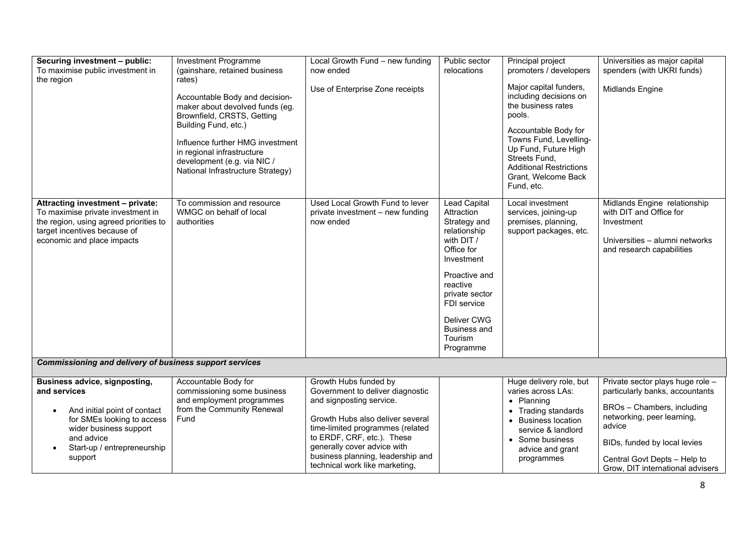| Securing investment - public:<br>To maximise public investment in<br>the region                                                                                                                                   | Investment Programme<br>(gainshare, retained business<br>rates)<br>Accountable Body and decision-<br>maker about devolved funds (eg.<br>Brownfield, CRSTS, Getting<br>Building Fund, etc.)<br>Influence further HMG investment<br>in regional infrastructure<br>development (e.g. via NIC /<br>National Infrastructure Strategy) | Local Growth Fund - new funding<br>now ended<br>Use of Enterprise Zone receipts                                                                                                                                                                                                                   | Public sector<br>relocations                                                                                                                                                                                                            | Principal project<br>promoters / developers<br>Major capital funders,<br>including decisions on<br>the business rates<br>pools.<br>Accountable Body for<br>Towns Fund, Levelling-<br>Up Fund, Future High<br>Streets Fund,<br><b>Additional Restrictions</b><br>Grant, Welcome Back<br>Fund, etc. | Universities as major capital<br>spenders (with UKRI funds)<br>Midlands Engine                                                                                                                                                                |  |
|-------------------------------------------------------------------------------------------------------------------------------------------------------------------------------------------------------------------|----------------------------------------------------------------------------------------------------------------------------------------------------------------------------------------------------------------------------------------------------------------------------------------------------------------------------------|---------------------------------------------------------------------------------------------------------------------------------------------------------------------------------------------------------------------------------------------------------------------------------------------------|-----------------------------------------------------------------------------------------------------------------------------------------------------------------------------------------------------------------------------------------|---------------------------------------------------------------------------------------------------------------------------------------------------------------------------------------------------------------------------------------------------------------------------------------------------|-----------------------------------------------------------------------------------------------------------------------------------------------------------------------------------------------------------------------------------------------|--|
| Attracting investment - private:<br>To maximise private investment in<br>the region, using agreed priorities to<br>target incentives because of<br>economic and place impacts                                     | To commission and resource<br>WMGC on behalf of local<br>authorities                                                                                                                                                                                                                                                             | Used Local Growth Fund to lever<br>private investment - new funding<br>now ended                                                                                                                                                                                                                  | <b>Lead Capital</b><br>Attraction<br>Strategy and<br>relationship<br>with DIT /<br>Office for<br>Investment<br>Proactive and<br>reactive<br>private sector<br>FDI service<br>Deliver CWG<br><b>Business and</b><br>Tourism<br>Programme | Local investment<br>services, joining-up<br>premises, planning,<br>support packages, etc.                                                                                                                                                                                                         | Midlands Engine relationship<br>with DIT and Office for<br>Investment<br>Universities - alumni networks<br>and research capabilities                                                                                                          |  |
| <b>Commissioning and delivery of business support services</b>                                                                                                                                                    |                                                                                                                                                                                                                                                                                                                                  |                                                                                                                                                                                                                                                                                                   |                                                                                                                                                                                                                                         |                                                                                                                                                                                                                                                                                                   |                                                                                                                                                                                                                                               |  |
| <b>Business advice, signposting,</b><br>and services<br>And initial point of contact<br>$\bullet$<br>for SMEs looking to access<br>wider business support<br>and advice<br>Start-up / entrepreneurship<br>support | Accountable Body for<br>commissioning some business<br>and employment programmes<br>from the Community Renewal<br>Fund                                                                                                                                                                                                           | Growth Hubs funded by<br>Government to deliver diagnostic<br>and signposting service.<br>Growth Hubs also deliver several<br>time-limited programmes (related<br>to ERDF, CRF, etc.). These<br>generally cover advice with<br>business planning, leadership and<br>technical work like marketing, |                                                                                                                                                                                                                                         | Huge delivery role, but<br>varies across LAs:<br>• Planning<br>• Trading standards<br>• Business location<br>service & landlord<br>• Some business<br>advice and grant<br>programmes                                                                                                              | Private sector plays huge role -<br>particularly banks, accountants<br>BROs - Chambers, including<br>networking, peer learning,<br>advice<br>BIDs, funded by local levies<br>Central Govt Depts - Help to<br>Grow, DIT international advisers |  |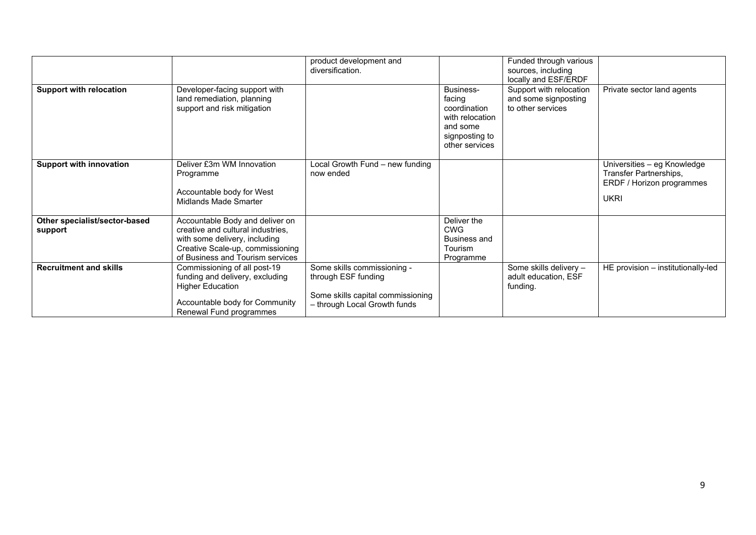|                                          |                                                                                                                                                                               | product development and<br>diversification.                                                                             |                                                                                                        | Funded through various<br>sources, including<br>locally and ESF/ERDF |                                                                                                   |
|------------------------------------------|-------------------------------------------------------------------------------------------------------------------------------------------------------------------------------|-------------------------------------------------------------------------------------------------------------------------|--------------------------------------------------------------------------------------------------------|----------------------------------------------------------------------|---------------------------------------------------------------------------------------------------|
| <b>Support with relocation</b>           | Developer-facing support with<br>land remediation, planning<br>support and risk mitigation                                                                                    |                                                                                                                         | Business-<br>facing<br>coordination<br>with relocation<br>and some<br>signposting to<br>other services | Support with relocation<br>and some signposting<br>to other services | Private sector land agents                                                                        |
| <b>Support with innovation</b>           | Deliver £3m WM Innovation<br>Programme<br>Accountable body for West<br>Midlands Made Smarter                                                                                  | Local Growth Fund - new funding<br>now ended                                                                            |                                                                                                        |                                                                      | Universities – eg Knowledge<br>Transfer Partnerships,<br>ERDF / Horizon programmes<br><b>UKRI</b> |
| Other specialist/sector-based<br>support | Accountable Body and deliver on<br>creative and cultural industries,<br>with some delivery, including<br>Creative Scale-up, commissioning<br>of Business and Tourism services |                                                                                                                         | Deliver the<br><b>CWG</b><br>Business and<br>Tourism<br>Programme                                      |                                                                      |                                                                                                   |
| <b>Recruitment and skills</b>            | Commissioning of all post-19<br>funding and delivery, excluding<br><b>Higher Education</b><br>Accountable body for Community<br>Renewal Fund programmes                       | Some skills commissioning -<br>through ESF funding<br>Some skills capital commissioning<br>- through Local Growth funds |                                                                                                        | Some skills delivery -<br>adult education, ESF<br>funding.           | HE provision - institutionally-led                                                                |